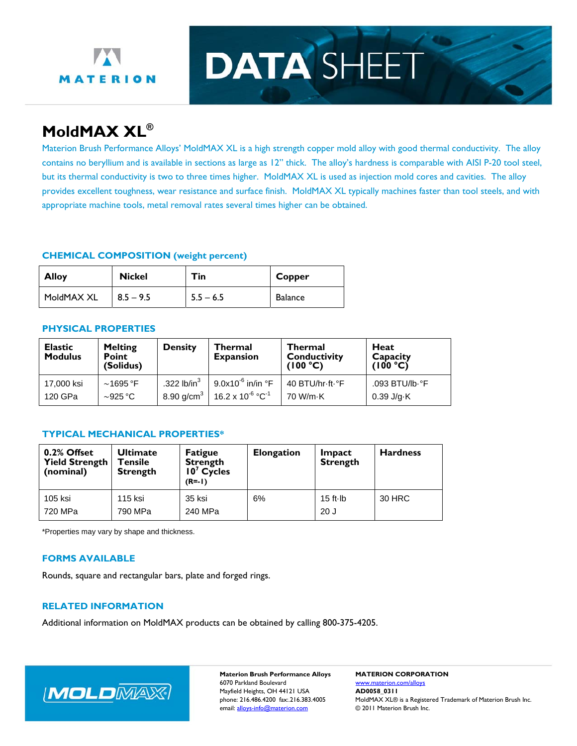

# **DATA SHEET**

## **MoldMAX XL®**

Materion Brush Performance Alloys' MoldMAX XL is a high strength copper mold alloy with good thermal conductivity. The alloy contains no beryllium and is available in sections as large as 12" thick. The alloy's hardness is comparable with AISI P-20 tool steel, but its thermal conductivity is two to three times higher. MoldMAX XL is used as injection mold cores and cavities. The alloy provides excellent toughness, wear resistance and surface finish. MoldMAX XL typically machines faster than tool steels, and with appropriate machine tools, metal removal rates several times higher can be obtained.

#### **CHEMICAL COMPOSITION (weight percent)**

| <b>Alloy</b> | <b>Nickel</b> | Tin.        | Copper  |
|--------------|---------------|-------------|---------|
| MoldMAX XL   | $8.5 - 9.5$   | $5.5 - 6.5$ | Balance |

### **PHYSICAL PROPERTIES**

| <b>Elastic</b><br><b>Modulus</b> | <b>Melting</b><br><b>Point</b><br>(Solidus) | <b>Density</b>         | <b>Thermal</b><br><b>Expansion</b>    | <b>Thermal</b><br><b>Conductivity</b><br>(100 °C) | Heat<br>Capacity<br>(100 °C) |
|----------------------------------|---------------------------------------------|------------------------|---------------------------------------|---------------------------------------------------|------------------------------|
| 17,000 ksi                       | $\sim$ 1695 °F                              | .322 $lb/in3$          | 9.0x10 <sup>-6</sup> in/in °F         | 40 BTU/hr-ft-°F                                   | .093 BTU/lb.°F               |
| 120 GPa                          | $\sim$ 925 °C                               | 8.90 g/cm <sup>3</sup> | $16.2 \times 10^{-6} \text{ °C}^{-1}$ | 70 W/m-K                                          | 0.39 J/g·K                   |

#### **TYPICAL MECHANICAL PROPERTIES\***

| 0.2% Offset<br><b>Yield Strength</b><br>(nominal) | <b>Ultimate</b><br>Tensile<br><b>Strength</b> | <b>Fatigue</b><br><b>Strength</b><br>$107$ Cycles<br>$(R = -1)$ | <b>Elongation</b> | Impact<br><b>Strength</b> | <b>Hardness</b> |
|---------------------------------------------------|-----------------------------------------------|-----------------------------------------------------------------|-------------------|---------------------------|-----------------|
| 105 ksi<br>720 MPa                                | 115 ksi<br>790 MPa                            | 35 ksi<br>240 MPa                                               | 6%                | $15$ ft $\cdot$ lb<br>20J | 30 HRC          |

\*Properties may vary by shape and thickness.

#### **FORMS AVAILABLE**

Rounds, square and rectangular bars, plate and forged rings.

#### **RELATED INFORMATION**

Additional information on MoldMAX products can be obtained by calling 800-375-4205.



**Materion Brush Performance Alloys MATERION CORPORATION**  6070 Parkland Boulevard www.materion.com/alloys Mayfield Heights, OH 44121 USA **AD0058\_0311**

phone: 216.486.4200 fax:.216.383.4005 MoldMAX XL® is a Registered Trademark of Materion Brush Inc. email: alloys-info@materion.com 
© 2011 Materion Brush Inc.